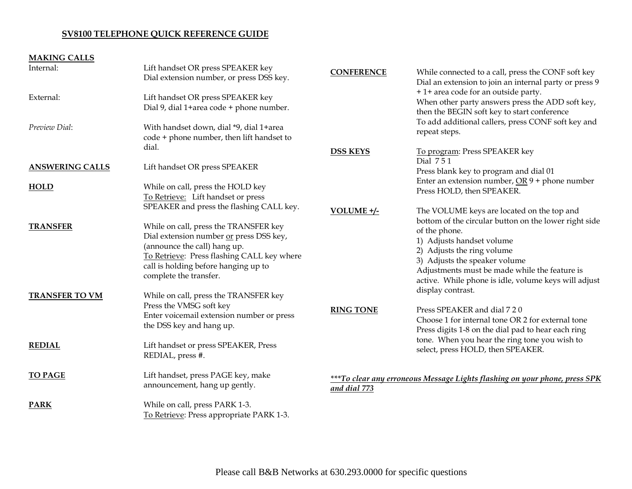## **SV8100 TELEPHONE QUICK REFERENCE GUIDE**

# **MAKING CALLS**

| Internal:              | Lift handset OR press SPEAKER key<br>Dial extension number, or press DSS key.                                                                                                                                                    | <b>CONFERENCE</b>                                                                          | While connected to a call, press the CONF soft key<br>Dial an extension to join an internal party or press 9                                                                                                                                                                |
|------------------------|----------------------------------------------------------------------------------------------------------------------------------------------------------------------------------------------------------------------------------|--------------------------------------------------------------------------------------------|-----------------------------------------------------------------------------------------------------------------------------------------------------------------------------------------------------------------------------------------------------------------------------|
| External:              | Lift handset OR press SPEAKER key<br>Dial 9, dial 1+area code + phone number.                                                                                                                                                    |                                                                                            | + 1+ area code for an outside party.<br>When other party answers press the ADD soft key,<br>then the BEGIN soft key to start conference                                                                                                                                     |
| Preview Dial:          | With handset down, dial *9, dial 1+area<br>code + phone number, then lift handset to                                                                                                                                             |                                                                                            | To add additional callers, press CONF soft key and<br>repeat steps.                                                                                                                                                                                                         |
|                        | dial.                                                                                                                                                                                                                            | <b>DSS KEYS</b>                                                                            | To program: Press SPEAKER key                                                                                                                                                                                                                                               |
| <b>ANSWERING CALLS</b> | Lift handset OR press SPEAKER                                                                                                                                                                                                    |                                                                                            | Dial 751<br>Press blank key to program and dial 01<br>Enter an extension number, $OR_9$ + phone number                                                                                                                                                                      |
| <b>HOLD</b>            | While on call, press the HOLD key<br>To Retrieve: Lift handset or press                                                                                                                                                          |                                                                                            | Press HOLD, then SPEAKER.                                                                                                                                                                                                                                                   |
|                        | SPEAKER and press the flashing CALL key.                                                                                                                                                                                         | VOLUME +/-                                                                                 | The VOLUME keys are located on the top and                                                                                                                                                                                                                                  |
| <b>TRANSFER</b>        | While on call, press the TRANSFER key<br>Dial extension number or press DSS key,<br>(announce the call) hang up.<br>To Retrieve: Press flashing CALL key where<br>call is holding before hanging up to<br>complete the transfer. |                                                                                            | bottom of the circular button on the lower right side<br>of the phone.<br>1) Adjusts handset volume<br>2) Adjusts the ring volume<br>3) Adjusts the speaker volume<br>Adjustments must be made while the feature is<br>active. While phone is idle, volume keys will adjust |
| <b>TRANSFER TO VM</b>  | While on call, press the TRANSFER key<br>Press the VMSG soft key<br>Enter voicemail extension number or press<br>the DSS key and hang up.                                                                                        | <b>RING TONE</b>                                                                           | display contrast.<br>Press SPEAKER and dial 7 2 0<br>Choose 1 for internal tone OR 2 for external tone<br>Press digits 1-8 on the dial pad to hear each ring                                                                                                                |
| <b>REDIAL</b>          | Lift handset or press SPEAKER, Press<br>REDIAL, press #.                                                                                                                                                                         |                                                                                            | tone. When you hear the ring tone you wish to<br>select, press HOLD, then SPEAKER.                                                                                                                                                                                          |
| <b>TO PAGE</b>         | Lift handset, press PAGE key, make<br>announcement, hang up gently.                                                                                                                                                              | ***To clear any erroneous Message Lights flashing on your phone, press SPK<br>and dial 773 |                                                                                                                                                                                                                                                                             |
| <b>PARK</b>            | While on call, press PARK 1-3.<br>To Retrieve: Press appropriate PARK 1-3.                                                                                                                                                       |                                                                                            |                                                                                                                                                                                                                                                                             |